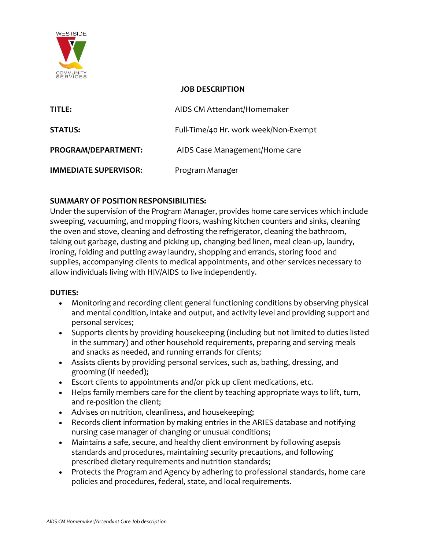

### **JOB DESCRIPTION**

| TITLE:                       | AIDS CM Attendant/Homemaker           |
|------------------------------|---------------------------------------|
| <b>STATUS:</b>               | Full-Time/40 Hr. work week/Non-Exempt |
| PROGRAM/DEPARTMENT:          | AIDS Case Management/Home care        |
| <b>IMMEDIATE SUPERVISOR:</b> | Program Manager                       |

# **SUMMARYOF POSITIONRESPONSIBILITIES:**

Under the supervision of the Program Manager, provides home care services which include sweeping, vacuuming, and mopping floors, washing kitchen counters and sinks, cleaning the oven and stove, cleaning and defrosting the refrigerator, cleaning the bathroom, taking out garbage, dusting and picking up, changing bed linen, meal clean-up, laundry, ironing, folding and putting away laundry, shopping and errands, storing food and supplies, accompanying clients to medical appointments, and other services necessary to allow individuals living with HIV/AIDS to live independently.

### **DUTIES:**

- Monitoring and recording client general functioning conditions by observing physical and mental condition, intake and output, and activity level and providing support and personal services;
- Supports clients by providing housekeeping (including but not limited to duties listed in the summary) and other household requirements, preparing and serving meals and snacks as needed, and running errands for clients;
- Assists clients by providing personal services, such as, bathing, dressing, and grooming (if needed);
- Escort clients to appointments and/or pick up client medications, etc.
- Helps family members care for the client by teaching appropriate ways to lift, turn, and re-position the client;
- Advises on nutrition, cleanliness, and housekeeping;
- Records client information by making entries in the ARIES database and notifying nursing case manager of changing or unusual conditions;
- Maintains a safe, secure, and healthy client environment by following asepsis standards and procedures, maintaining security precautions, and following prescribed dietary requirements and nutrition standards;
- Protects the Program and Agency by adhering to professional standards, home care policies and procedures, federal, state, and local requirements.